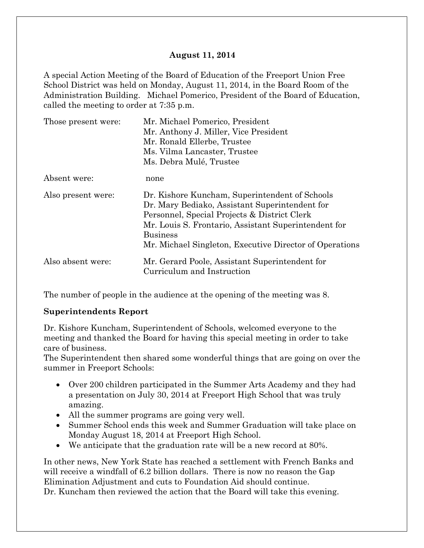#### **August 11, 2014**

A special Action Meeting of the Board of Education of the Freeport Union Free School District was held on Monday, August 11, 2014, in the Board Room of the Administration Building. Michael Pomerico, President of the Board of Education, called the meeting to order at 7:35 p.m.

| Those present were: | Mr. Michael Pomerico, President                         |  |  |
|---------------------|---------------------------------------------------------|--|--|
|                     | Mr. Anthony J. Miller, Vice President                   |  |  |
|                     | Mr. Ronald Ellerbe, Trustee                             |  |  |
|                     | Ms. Vilma Lancaster, Trustee                            |  |  |
|                     | Ms. Debra Mulé, Trustee                                 |  |  |
| Absent were:        | none                                                    |  |  |
| Also present were:  | Dr. Kishore Kuncham, Superintendent of Schools          |  |  |
|                     | Dr. Mary Bediako, Assistant Superintendent for          |  |  |
|                     | Personnel, Special Projects & District Clerk            |  |  |
|                     | Mr. Louis S. Frontario, Assistant Superintendent for    |  |  |
|                     | <b>Business</b>                                         |  |  |
|                     | Mr. Michael Singleton, Executive Director of Operations |  |  |
| Also absent were:   | Mr. Gerard Poole, Assistant Superintendent for          |  |  |
|                     | Curriculum and Instruction                              |  |  |

The number of people in the audience at the opening of the meeting was 8.

#### **Superintendents Report**

Dr. Kishore Kuncham, Superintendent of Schools, welcomed everyone to the meeting and thanked the Board for having this special meeting in order to take care of business.

The Superintendent then shared some wonderful things that are going on over the summer in Freeport Schools:

- Over 200 children participated in the Summer Arts Academy and they had a presentation on July 30, 2014 at Freeport High School that was truly amazing.
- All the summer programs are going very well.
- Summer School ends this week and Summer Graduation will take place on Monday August 18, 2014 at Freeport High School.
- We anticipate that the graduation rate will be a new record at 80%.

In other news, New York State has reached a settlement with French Banks and will receive a windfall of 6.2 billion dollars. There is now no reason the Gap Elimination Adjustment and cuts to Foundation Aid should continue. Dr. Kuncham then reviewed the action that the Board will take this evening.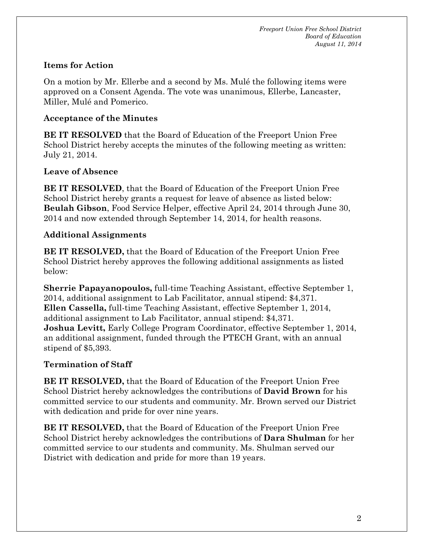## **Items for Action**

On a motion by Mr. Ellerbe and a second by Ms. Mulé the following items were approved on a Consent Agenda. The vote was unanimous, Ellerbe, Lancaster, Miller, Mulé and Pomerico.

## **Acceptance of the Minutes**

**BE IT RESOLVED** that the Board of Education of the Freeport Union Free School District hereby accepts the minutes of the following meeting as written: July 21, 2014.

# **Leave of Absence**

**BE IT RESOLVED**, that the Board of Education of the Freeport Union Free School District hereby grants a request for leave of absence as listed below: **Beulah Gibson**, Food Service Helper, effective April 24, 2014 through June 30, 2014 and now extended through September 14, 2014, for health reasons.

# **Additional Assignments**

**BE IT RESOLVED,** that the Board of Education of the Freeport Union Free School District hereby approves the following additional assignments as listed below:

**Sherrie Papayanopoulos,** full-time Teaching Assistant, effective September 1, 2014, additional assignment to Lab Facilitator, annual stipend: \$4,371. **Ellen Cassella,** full-time Teaching Assistant, effective September 1, 2014, additional assignment to Lab Facilitator, annual stipend: \$4,371. **Joshua Levitt,** Early College Program Coordinator, effective September 1, 2014, an additional assignment, funded through the PTECH Grant, with an annual stipend of \$5,393.

# **Termination of Staff**

**BE IT RESOLVED,** that the Board of Education of the Freeport Union Free School District hereby acknowledges the contributions of **David Brown** for his committed service to our students and community. Mr. Brown served our District with dedication and pride for over nine years.

**BE IT RESOLVED,** that the Board of Education of the Freeport Union Free School District hereby acknowledges the contributions of **Dara Shulman** for her committed service to our students and community. Ms. Shulman served our District with dedication and pride for more than 19 years.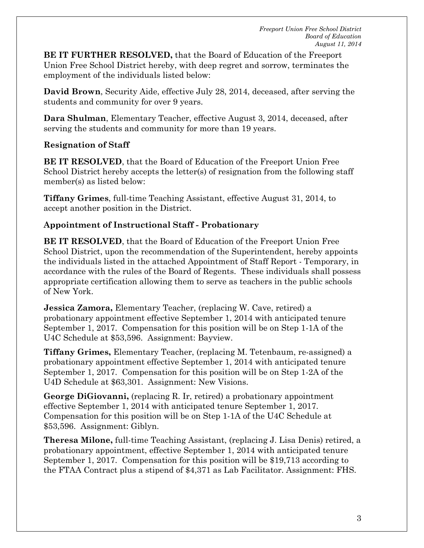**BE IT FURTHER RESOLVED,** that the Board of Education of the Freeport Union Free School District hereby, with deep regret and sorrow, terminates the employment of the individuals listed below:

**David Brown**, Security Aide, effective July 28, 2014, deceased, after serving the students and community for over 9 years.

**Dara Shulman**, Elementary Teacher, effective August 3, 2014, deceased, after serving the students and community for more than 19 years.

# **Resignation of Staff**

**BE IT RESOLVED**, that the Board of Education of the Freeport Union Free School District hereby accepts the letter(s) of resignation from the following staff member(s) as listed below:

**Tiffany Grimes**, full-time Teaching Assistant, effective August 31, 2014, to accept another position in the District.

# **Appointment of Instructional Staff - Probationary**

**BE IT RESOLVED**, that the Board of Education of the Freeport Union Free School District, upon the recommendation of the Superintendent, hereby appoints the individuals listed in the attached Appointment of Staff Report - Temporary, in accordance with the rules of the Board of Regents. These individuals shall possess appropriate certification allowing them to serve as teachers in the public schools of New York.

**Jessica Zamora,** Elementary Teacher, (replacing W. Cave, retired) a probationary appointment effective September 1, 2014 with anticipated tenure September 1, 2017. Compensation for this position will be on Step 1-1A of the U4C Schedule at \$53,596. Assignment: Bayview.

**Tiffany Grimes,** Elementary Teacher, (replacing M. Tetenbaum, re-assigned) a probationary appointment effective September 1, 2014 with anticipated tenure September 1, 2017. Compensation for this position will be on Step 1-2A of the U4D Schedule at \$63,301. Assignment: New Visions.

**George DiGiovanni,** (replacing R. Ir, retired) a probationary appointment effective September 1, 2014 with anticipated tenure September 1, 2017. Compensation for this position will be on Step 1-1A of the U4C Schedule at \$53,596. Assignment: Giblyn.

**Theresa Milone,** full-time Teaching Assistant, (replacing J. Lisa Denis) retired, a probationary appointment, effective September 1, 2014 with anticipated tenure September 1, 2017. Compensation for this position will be \$19,713 according to the FTAA Contract plus a stipend of \$4,371 as Lab Facilitator. Assignment: FHS.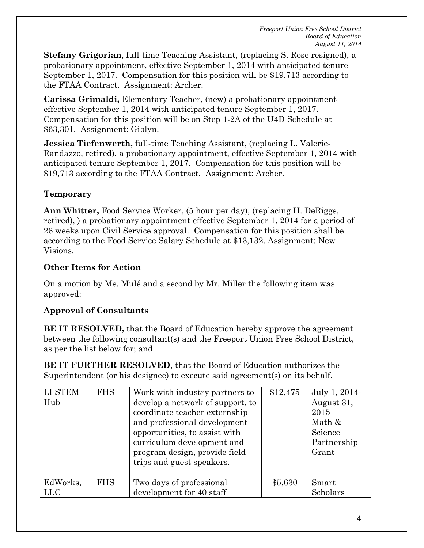**Stefany Grigorian**, full-time Teaching Assistant, (replacing S. Rose resigned), a probationary appointment, effective September 1, 2014 with anticipated tenure September 1, 2017. Compensation for this position will be \$19,713 according to the FTAA Contract. Assignment: Archer.

**Carissa Grimaldi,** Elementary Teacher, (new) a probationary appointment effective September 1, 2014 with anticipated tenure September 1, 2017. Compensation for this position will be on Step 1-2A of the U4D Schedule at \$63,301. Assignment: Giblyn.

**Jessica Tiefenwerth,** full-time Teaching Assistant, (replacing L. Valerie-Randazzo, retired), a probationary appointment, effective September 1, 2014 with anticipated tenure September 1, 2017. Compensation for this position will be \$19,713 according to the FTAA Contract. Assignment: Archer.

# **Temporary**

**Ann Whitter,** Food Service Worker, (5 hour per day), (replacing H. DeRiggs, retired), ) a probationary appointment effective September 1, 2014 for a period of 26 weeks upon Civil Service approval. Compensation for this position shall be according to the Food Service Salary Schedule at \$13,132. Assignment: New Visions.

## **Other Items for Action**

On a motion by Ms. Mulé and a second by Mr. Miller the following item was approved:

# **Approval of Consultants**

**BE IT RESOLVED,** that the Board of Education hereby approve the agreement between the following consultant(s) and the Freeport Union Free School District, as per the list below for; and

**BE IT FURTHER RESOLVED**, that the Board of Education authorizes the Superintendent (or his designee) to execute said agreement(s) on its behalf.

| LI STEM<br>Hub  | <b>FHS</b> | Work with industry partners to<br>develop a network of support, to<br>coordinate teacher externship<br>and professional development<br>opportunities, to assist with<br>curriculum development and<br>program design, provide field<br>trips and guest speakers. | \$12,475 | July 1, 2014-<br>August 31,<br>2015<br>Math &<br>Science<br>Partnership<br>Grant |
|-----------------|------------|------------------------------------------------------------------------------------------------------------------------------------------------------------------------------------------------------------------------------------------------------------------|----------|----------------------------------------------------------------------------------|
| EdWorks,<br>LLC | <b>FHS</b> | Two days of professional<br>development for 40 staff                                                                                                                                                                                                             | \$5,630  | Smart<br>Scholars                                                                |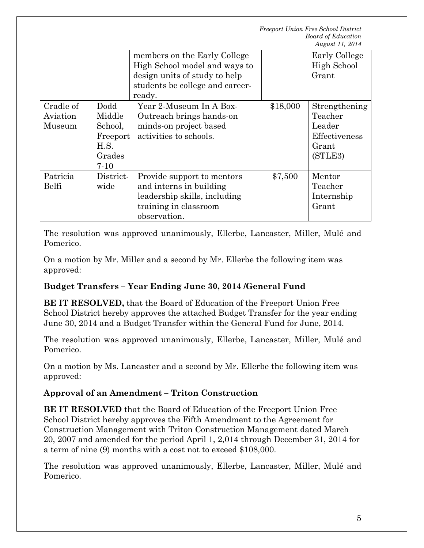|                                 |                                                                   | members on the Early College<br>High School model and ways to<br>design units of study to help<br>students be college and career-<br>ready. |          | Early College<br>High School<br>Grant                                   |
|---------------------------------|-------------------------------------------------------------------|---------------------------------------------------------------------------------------------------------------------------------------------|----------|-------------------------------------------------------------------------|
| Cradle of<br>Aviation<br>Museum | Dodd<br>Middle<br>School,<br>Freeport<br>H.S.<br>Grades<br>$7-10$ | Year 2-Museum In A Box-<br>Outreach brings hands-on<br>minds-on project based<br>activities to schools.                                     | \$18,000 | Strengthening<br>Teacher<br>Leader<br>Effectiveness<br>Grant<br>(STLE3) |
| Patricia<br>Belfi               | District-<br>wide                                                 | Provide support to mentors<br>and interns in building<br>leadership skills, including<br>training in classroom<br>observation.              | \$7,500  | Mentor<br>Teacher<br>Internship<br>Grant                                |

The resolution was approved unanimously, Ellerbe, Lancaster, Miller, Mulé and Pomerico.

On a motion by Mr. Miller and a second by Mr. Ellerbe the following item was approved:

# **Budget Transfers – Year Ending June 30, 2014 /General Fund**

**BE IT RESOLVED,** that the Board of Education of the Freeport Union Free School District hereby approves the attached Budget Transfer for the year ending June 30, 2014 and a Budget Transfer within the General Fund for June, 2014.

The resolution was approved unanimously, Ellerbe, Lancaster, Miller, Mulé and Pomerico.

On a motion by Ms. Lancaster and a second by Mr. Ellerbe the following item was approved:

#### **Approval of an Amendment – Triton Construction**

**BE IT RESOLVED** that the Board of Education of the Freeport Union Free School District hereby approves the Fifth Amendment to the Agreement for Construction Management with Triton Construction Management dated March 20, 2007 and amended for the period April 1, 2,014 through December 31, 2014 for a term of nine (9) months with a cost not to exceed \$108,000.

The resolution was approved unanimously, Ellerbe, Lancaster, Miller, Mulé and Pomerico.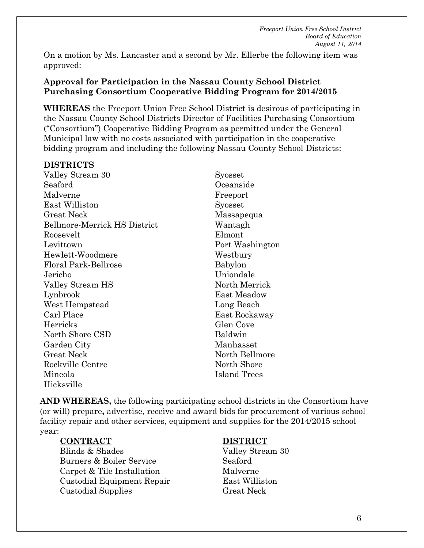*Freeport Union Free School District Board of Education August 11, 2014*

On a motion by Ms. Lancaster and a second by Mr. Ellerbe the following item was approved:

#### **Approval for Participation in the Nassau County School District Purchasing Consortium Cooperative Bidding Program for 2014/2015**

**WHEREAS** the Freeport Union Free School District is desirous of participating in the Nassau County School Districts Director of Facilities Purchasing Consortium ("Consortium") Cooperative Bidding Program as permitted under the General Municipal law with no costs associated with participation in the cooperative bidding program and including the following Nassau County School Districts:

#### **DISTRICTS**

Valley Stream 30 Seaford Malverne East Williston Great Neck Bellmore-Merrick HS District Roosevelt Levittown Hewlett-Woodmere Floral Park-Bellrose Jericho Valley Stream HS Lynbrook West Hempstead Carl Place Herricks North Shore CSD Garden City Great Neck Rockville Centre Mineola Hicksville

Syosset Oceanside Freeport Syosset Massapequa Wantagh Elmont Port Washington Westbury Babylon Uniondale North Merrick East Meadow Long Beach East Rockaway Glen Cove Baldwin Manhasset North Bellmore North Shore Island Trees

**AND WHEREAS,** the following participating school districts in the Consortium have (or will) prepare**,** advertise, receive and award bids for procurement of various school facility repair and other services, equipment and supplies for the 2014/2015 school year:

#### **CONTRACT DISTRICT**

Blinds & Shades Valley Stream 30 **Burners & Boiler Service** Seaford Carpet & Tile Installation Malverne Custodial Equipment Repair East Williston Custodial Supplies Great Neck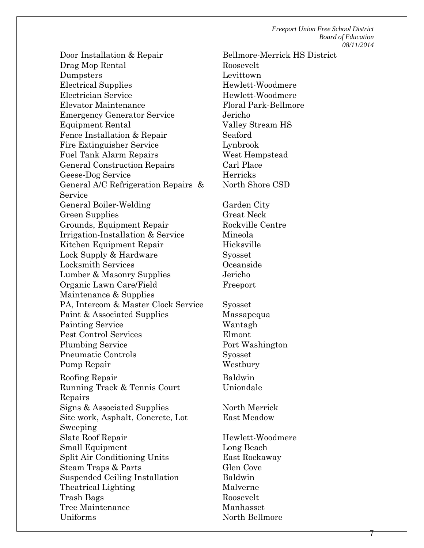*Freeport Union Free School District Board of Education 08/11/2014*

Door Installation & Repair Bellmore-Merrick HS District Drag Mop Rental Roosevelt Dumpsters Levittown Electrical Supplies Hewlett-Woodmere Electrician Service Hewlett-Woodmere Elevator Maintenance Floral Park-Bellmore Emergency Generator Service Jericho Equipment Rental Valley Stream HS Fence Installation & Repair Seaford Fire Extinguisher Service Lynbrook Fuel Tank Alarm Repairs West Hempstead General Construction Repairs Carl Place Geese-Dog Service Herricks General A/C Refrigeration Repairs & Service General Boiler-Welding Garden City Green Supplies Great Neck Grounds, Equipment Repair Rockville Centre Irrigation-Installation & Service Mineola Kitchen Equipment Repair Hicksville Lock Supply & Hardware Syosset Locksmith Services Oceanside Lumber & Masonry Supplies Jericho Organic Lawn Care/Field Maintenance & Supplies PA, Intercom & Master Clock Service Syosset Paint & Associated Supplies Massapequa Painting Service Wantagh Pest Control Services Elmont Plumbing Service Port Washington Pneumatic Controls Syosset Pump Repair Westbury Roofing Repair Baldwin Running Track & Tennis Court Repairs Signs & Associated Supplies North Merrick Site work, Asphalt, Concrete, Lot Sweeping Slate Roof Repair Hewlett-Woodmere Small Equipment Long Beach Split Air Conditioning Units East Rockaway Steam Traps & Parts Glen Cove Suspended Ceiling Installation Baldwin Theatrical Lighting Malverne Trash Bags Roosevelt Tree Maintenance Manhasset Uniforms North Bellmore

North Shore CSD Freeport Uniondale East Meadow

7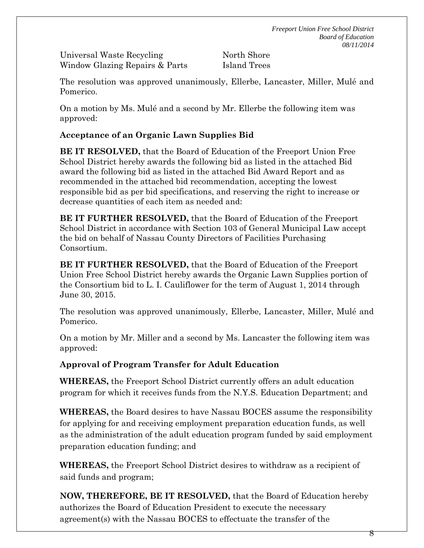Universal Waste Recycling North Shore Window Glazing Repairs & Parts Island Trees

The resolution was approved unanimously, Ellerbe, Lancaster, Miller, Mulé and Pomerico.

On a motion by Ms. Mulé and a second by Mr. Ellerbe the following item was approved:

# **Acceptance of an Organic Lawn Supplies Bid**

**BE IT RESOLVED,** that the Board of Education of the Freeport Union Free School District hereby awards the following bid as listed in the attached Bid award the following bid as listed in the attached Bid Award Report and as recommended in the attached bid recommendation, accepting the lowest responsible bid as per bid specifications, and reserving the right to increase or decrease quantities of each item as needed and:

**BE IT FURTHER RESOLVED,** that the Board of Education of the Freeport School District in accordance with Section 103 of General Municipal Law accept the bid on behalf of Nassau County Directors of Facilities Purchasing Consortium.

**BE IT FURTHER RESOLVED,** that the Board of Education of the Freeport Union Free School District hereby awards the Organic Lawn Supplies portion of the Consortium bid to L. I. Cauliflower for the term of August 1, 2014 through June 30, 2015.

The resolution was approved unanimously, Ellerbe, Lancaster, Miller, Mulé and Pomerico.

On a motion by Mr. Miller and a second by Ms. Lancaster the following item was approved:

**Approval of Program Transfer for Adult Education**

**WHEREAS,** the Freeport School District currently offers an adult education program for which it receives funds from the N.Y.S. Education Department; and

**WHEREAS,** the Board desires to have Nassau BOCES assume the responsibility for applying for and receiving employment preparation education funds, as well as the administration of the adult education program funded by said employment preparation education funding; and

**WHEREAS,** the Freeport School District desires to withdraw as a recipient of said funds and program;

**NOW, THEREFORE, BE IT RESOLVED,** that the Board of Education hereby authorizes the Board of Education President to execute the necessary agreement(s) with the Nassau BOCES to effectuate the transfer of the

8